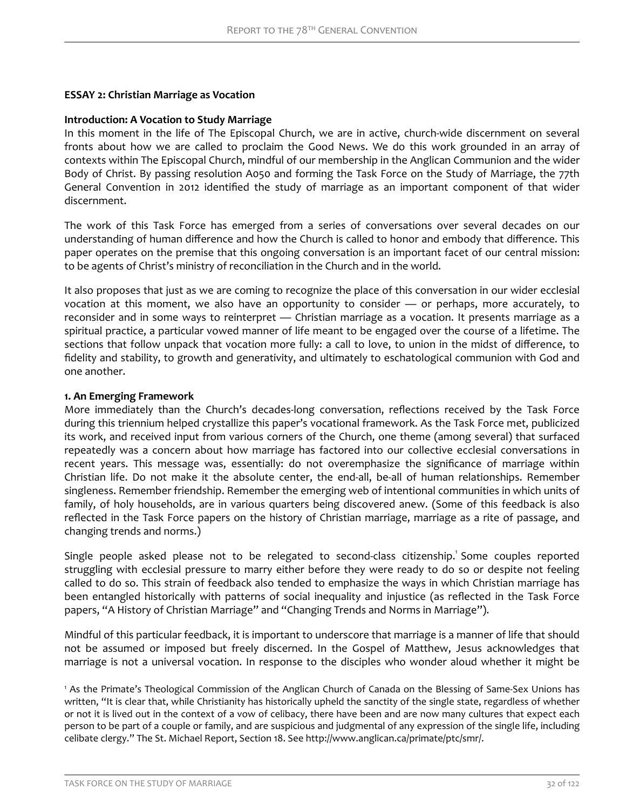#### **ESSAY 2: Christian Marriage as Vocation**

#### **Introduction: A Vocation to Study Marriage**

In this moment in the life of The Episcopal Church, we are in active, church-wide discernment on several fronts about how we are called to proclaim the Good News. We do this work grounded in an array of contexts within The Episcopal Church, mindful of our membership in the Anglican Communion and the wider Body of Christ. By passing resolution A050 and forming the Task Force on the Study of Marriage, the 77th General Convention in 2012 identified the study of marriage as an important component of that wider discernment.

The work of this Task Force has emerged from a series of conversations over several decades on our understanding of human difference and how the Church is called to honor and embody that difference. This paper operates on the premise that this ongoing conversation is an important facet of our central mission: to be agents of Christ's ministry of reconciliation in the Church and in the world.

It also proposes that just as we are coming to recognize the place of this conversation in our wider ecclesial vocation at this moment, we also have an opportunity to consider — or perhaps, more accurately, to reconsider and in some ways to reinterpret - Christian marriage as a vocation. It presents marriage as a spiritual practice, a particular vowed manner of life meant to be engaged over the course of a lifetime. The sections that follow unpack that vocation more fully: a call to love, to union in the midst of difference, to fidelity and stability, to growth and generativity, and ultimately to eschatological communion with God and one another.

### **1. An Emerging Framework**

More immediately than the Church's decades-long conversation, reflections received by the Task Force during this triennium helped crystallize this paper's vocational framework. As the Task Force met, publicized its work, and received input from various corners of the Church, one theme (among several) that surfaced repeatedly was a concern about how marriage has factored into our collective ecclesial conversations in recent years. This message was, essentially: do not overemphasize the significance of marriage within Christian life. Do not make it the absolute center, the end-all, be-all of human relationships. Remember singleness. Remember friendship. Remember the emerging web of intentional communities in which units of family, of holy households, are in various quarters being discovered anew. (Some of this feedback is also reflected in the Task Force papers on the history of Christian marriage, marriage as a rite of passage, and changing trends and norms.)

Single people asked please not to be relegated to second-class citizenship.<sup>1</sup> Some couples reported struggling with ecclesial pressure to marry either before they were ready to do so or despite not feeling called to do so. This strain of feedback also tended to emphasize the ways in which Christian marriage has been entangled historically with patterns of social inequality and injustice (as reflected in the Task Force papers, "A History of Christian Marriage" and "Changing Trends and Norms in Marriage").

Mindful of this particular feedback, it is important to underscore that marriage is a manner of life that should not be assumed or imposed but freely discerned. In the Gospel of Matthew, Jesus acknowledges that marriage is not a universal vocation. In response to the disciples who wonder aloud whether it might be

<sup>1</sup> As the Primate's Theological Commission of the Anglican Church of Canada on the Blessing of Same-Sex Unions has written, "It is clear that, while Christianity has historically upheld the sanctity of the single state, regardless of whether or not it is lived out in the context of a vow of celibacy, there have been and are now many cultures that expect each person to be part of a couple or family, and are suspicious and judgmental of any expression of the single life, including celibate clergy." The St. Michael Report, Section 18. See http://www.anglican.ca/primate/ptc/smr/.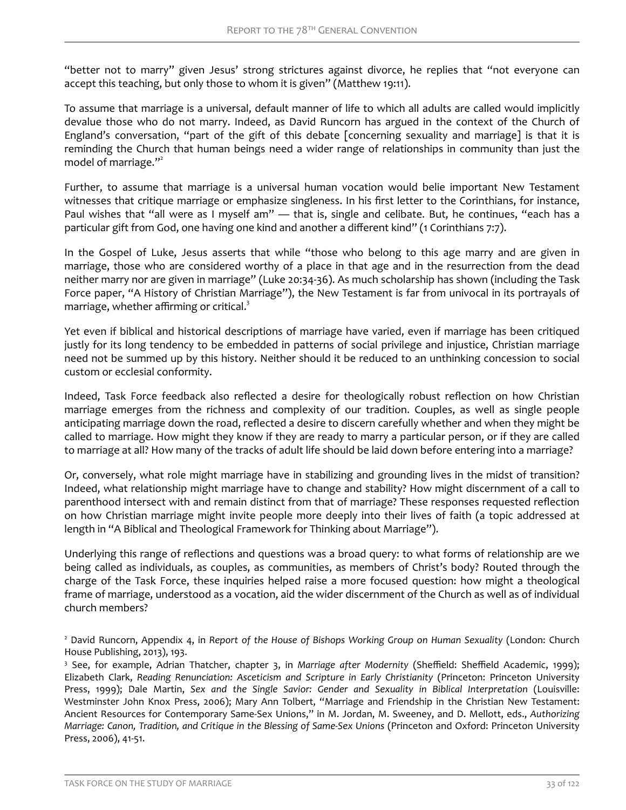"better not to marry" given Jesus' strong strictures against divorce, he replies that "not everyone can accept this teaching, but only those to whom it is given" (Matthew 19:11).

To assume that marriage is a universal, default manner of life to which all adults are called would implicitly devalue those who do not marry. Indeed, as David Runcorn has argued in the context of the Church of England's conversation, "part of the gift of this debate [concerning sexuality and marriage] is that it is reminding the Church that human beings need a wider range of relationships in community than just the model of marriage. $"$ 

Further, to assume that marriage is a universal human vocation would belie important New Testament witnesses that critique marriage or emphasize singleness. In his first letter to the Corinthians, for instance, Paul wishes that "all were as I myself am" — that is, single and celibate. But, he continues, "each has a particular gift from God, one having one kind and another a different kind" (1 Corinthians 7:7).

In the Gospel of Luke, Jesus asserts that while "those who belong to this age marry and are given in marriage, those who are considered worthy of a place in that age and in the resurrection from the dead neither marry nor are given in marriage" (Luke 20:34-36). As much scholarship has shown (including the Task Force paper, "A History of Christian Marriage"), the New Testament is far from univocal in its portrayals of marriage, whether affirming or critical. $3$ 

Yet even if biblical and historical descriptions of marriage have varied, even if marriage has been critiqued justly for its long tendency to be embedded in patterns of social privilege and injustice, Christian marriage need not be summed up by this history. Neither should it be reduced to an unthinking concession to social custom or ecclesial conformity.

Indeed, Task Force feedback also reflected a desire for theologically robust reflection on how Christian marriage emerges from the richness and complexity of our tradition. Couples, as well as single people anticipating marriage down the road, reflected a desire to discern carefully whether and when they might be called to marriage. How might they know if they are ready to marry a particular person, or if they are called to marriage at all? How many of the tracks of adult life should be laid down before entering into a marriage?

Or, conversely, what role might marriage have in stabilizing and grounding lives in the midst of transition? Indeed, what relationship might marriage have to change and stability? How might discernment of a call to parenthood intersect with and remain distinct from that of marriage? These responses requested reflection on how Christian marriage might invite people more deeply into their lives of faith (a topic addressed at length in "A Biblical and Theological Framework for Thinking about Marriage").

Underlying this range of reflections and questions was a broad query: to what forms of relationship are we being called as individuals, as couples, as communities, as members of Christ's body? Routed through the charge of the Task Force, these inquiries helped raise a more focused question: how might a theological frame of marriage, understood as a vocation, aid the wider discernment of the Church as well as of individual church members?

<sup>2</sup> David Runcorn, Appendix 4, in *Report of the House of Bishops Working Group on Human Sexuality* (London: Church House Publishing, 2013), 193.

<sup>&</sup>lt;sup>3</sup> See, for example, Adrian Thatcher, chapter 3, in *Marriage after Modernity* (Sheffield: Sheffield Academic, 1999); Elizabeth Clark, *Reading Renunciation: Asceticism and Scripture in Early Christianity* (Princeton: Princeton University Press, 1999); Dale Martin, *Sex and the Single Savior: Gender and Sexuality in Biblical Interpretation* (Louisville: Westminster John Knox Press, 2006); Mary Ann Tolbert, "Marriage and Friendship in the Christian New Testament: Ancient Resources for Contemporary Same-Sex Unions," in M. Jordan, M. Sweeney, and D. Mellott, eds., *Authorizing Marriage: Canon, Tradition, and Critique in the Blessing of Same-Sex Unions* (Princeton and Oxford: Princeton University Press, 2006), 41-51.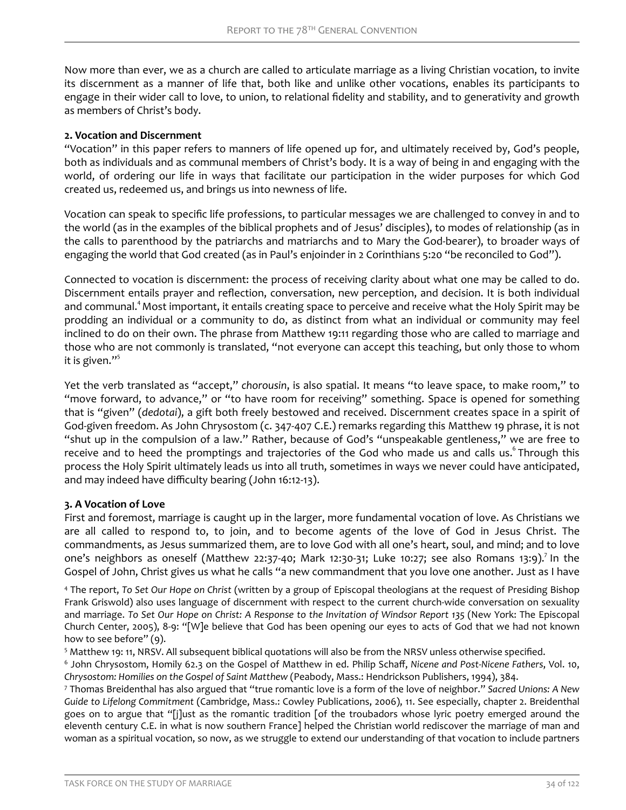Now more than ever, we as a church are called to articulate marriage as a living Christian vocation, to invite its discernment as a manner of life that, both like and unlike other vocations, enables its participants to engage in their wider call to love, to union, to relational fidelity and stability, and to generativity and growth as members of Christ's body.

### **2. Vocation and Discernment**

"Vocation" in this paper refers to manners of life opened up for, and ultimately received by, God's people, both as individuals and as communal members of Christ's body. It is a way of being in and engaging with the world, of ordering our life in ways that facilitate our participation in the wider purposes for which God created us, redeemed us, and brings us into newness of life.

Vocation can speak to specific life professions, to particular messages we are challenged to convey in and to the world (as in the examples of the biblical prophets and of Jesus' disciples), to modes of relationship (as in the calls to parenthood by the patriarchs and matriarchs and to Mary the God-bearer), to broader ways of engaging the world that God created (as in Paul's enjoinder in 2 Corinthians 5:20 "be reconciled to God").

Connected to vocation is discernment: the process of receiving clarity about what one may be called to do. Discernment entails prayer and reflection, conversation, new perception, and decision. It is both individual and communal.<sup>4</sup> Most important, it entails creating space to perceive and receive what the Holy Spirit may be prodding an individual or a community to do, as distinct from what an individual or community may feel inclined to do on their own. The phrase from Matthew 19:11 regarding those who are called to marriage and those who are not commonly is translated, "not everyone can accept this teaching, but only those to whom it is given."<sup>5</sup>

Yet the verb translated as "accept," *chorousin*, is also spatial. It means "to leave space, to make room," to "move forward, to advance," or "to have room for receiving" something. Space is opened for something that is "given" (*dedotai*), a gift both freely bestowed and received. Discernment creates space in a spirit of God-given freedom. As John Chrysostom (c. 347-407 C.E.) remarks regarding this Matthew 19 phrase, it is not "shut up in the compulsion of a law." Rather, because of God's "unspeakable gentleness," we are free to receive and to heed the promptings and trajectories of the God who made us and calls us. <sup>6</sup> Through this process the Holy Spirit ultimately leads us into all truth, sometimes in ways we never could have anticipated, and may indeed have difficulty bearing (John 16:12-13).

# **3. A Vocation of Love**

First and foremost, marriage is caught up in the larger, more fundamental vocation of love. As Christians we are all called to respond to, to join, and to become agents of the love of God in Jesus Christ. The commandments, as Jesus summarized them, are to love God with all one's heart, soul, and mind; and to love one's neighbors as oneself (Matthew 22:37-40; Mark 12:30-31; Luke 10:27; see also Romans 13:9).<sup>7</sup> In the Gospel of John, Christ gives us what he calls "a new commandment that you love one another. Just as I have

<sup>4</sup> The report, *To Set Our Hope on Christ* (written by a group of Episcopal theologians at the request of Presiding Bishop Frank Griswold) also uses language of discernment with respect to the current church-wide conversation on sexuality and marriage. *To Set Our Hope on Christ: A Response to the Invitation of Windsor Report 135* (New York: The Episcopal Church Center, 2005), 8-9: "[W]e believe that God has been opening our eyes to acts of God that we had not known how to see before" (9).

<sup>5</sup> Matthew 19: 11, NRSV. All subsequent biblical quotations will also be from the NRSV unless otherwise specified.

<sup>6</sup> John Chrysostom, Homily 62.3 on the Gospel of Matthew in ed. Philip Schaff, Nicene and Post-Nicene Fathers, Vol. 10, *Chrysostom: Homilies on the Gospel of Saint Matthew* (Peabody, Mass.: Hendrickson Publishers, 1994), 384.

7 Thomas Breidenthal has also argued that "true romantic love is a form of the love of neighbor." *Sacred Unions: A New Guide to Lifelong Commitment* (Cambridge, Mass.: Cowley Publications, 2006), 11. See especially, chapter 2. Breidenthal goes on to argue that "[j]ust as the romantic tradition [of the troubadors whose lyric poetry emerged around the eleventh century C.E. in what is now southern France] helped the Christian world rediscover the marriage of man and woman as a spiritual vocation, so now, as we struggle to extend our understanding of that vocation to include partners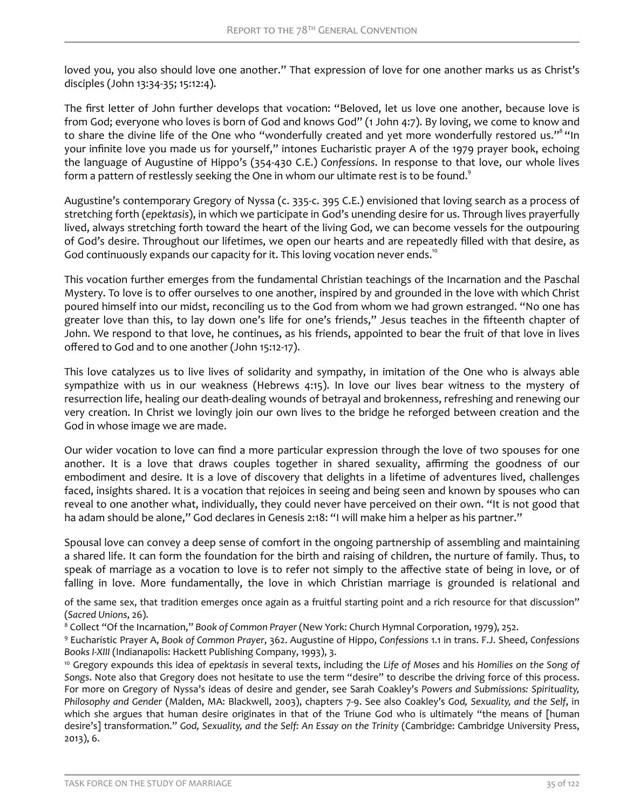loved you, you also should love one another." That expression of love for one another marks us as Christ's disciples (John 13:34-35; 15:12:4).

The first letter of John further develops that vocation: "Beloved, let us love one another, because love is from God; everyone who loves is born of God and knows God" (1 John 4:7). By loving, we come to know and to share the divine life of the One who "wonderfully created and yet more wonderfully restored us."<sup>8</sup> "In your infinite love you made us for yourself," intones Eucharistic prayer A of the 1979 prayer book, echoing the language of Augustine of Hippo's (354-430 C.E.) *Confessions*. In response to that love, our whole lives form a pattern of restlessly seeking the One in whom our ultimate rest is to be found.<sup>9</sup>

Augustine's contemporary Gregory of Nyssa (c. 335-c. 395 C.E.) envisioned that loving search as a process of stretching forth (*epektasis*), in which we participate in God's unending desire for us. Through lives prayerfully lived, always stretching forth toward the heart of the living God, we can become vessels for the outpouring of God's desire. Throughout our lifetimes, we open our hearts and are repeatedly filled with that desire, as God continuously expands our capacity for it. This loving vocation never ends.<sup>10</sup>

This vocation further emerges from the fundamental Christian teachings of the Incarnation and the Paschal Mystery. To love is to offer ourselves to one another, inspired by and grounded in the love with which Christ poured himself into our midst, reconciling us to the God from whom we had grown estranged. "No one has greater love than this, to lay down one's life for one's friends," Jesus teaches in the fifteenth chapter of John. We respond to that love, he continues, as his friends, appointed to bear the fruit of that love in lives offered to God and to one another (John 15:12-17).

This love catalyzes us to live lives of solidarity and sympathy, in imitation of the One who is always able sympathize with us in our weakness (Hebrews 4:15). In love our lives bear witness to the mystery of resurrection life, healing our death-dealing wounds of betrayal and brokenness, refreshing and renewing our very creation. In Christ we lovingly join our own lives to the bridge he reforged between creation and the God in whose image we are made.

Our wider vocation to love can find a more particular expression through the love of two spouses for one another. It is a love that draws couples together in shared sexuality, affirming the goodness of our embodiment and desire. It is a love of discovery that delights in a lifetime of adventures lived, challenges faced, insights shared. It is a vocation that rejoices in seeing and being seen and known by spouses who can reveal to one another what, individually, they could never have perceived on their own. "It is not good that ha adam should be alone," God declares in Genesis 2:18: "I will make him a helper as his partner."

Spousal love can convey a deep sense of comfort in the ongoing partnership of assembling and maintaining a shared life. It can form the foundation for the birth and raising of children, the nurture of family. Thus, to speak of marriage as a vocation to love is to refer not simply to the affective state of being in love, or of falling in love. More fundamentally, the love in which Christian marriage is grounded is relational and

of the same sex, that tradition emerges once again as a fruitful starting point and a rich resource for that discussion" (*Sacred Unions*, 26).

8 Collect "Of the Incarnation," *Book of Common Prayer* (New York: Church Hymnal Corporation, 1979), 252.

9 Eucharistic Prayer A, *Book of Common Prayer*, 362. Augustine of Hippo, *Confessions* 1.1 in trans. F.J. Sheed, *Confessions Books I-XIII* (Indianapolis: Hackett Publishing Company, 1993), 3.

<sup>10</sup> Gregory expounds this idea of *epektasis* in several texts, including the *Life of Moses* and his *Homilies on the Song of Songs*. Note also that Gregory does not hesitate to use the term "desire" to describe the driving force of this process. For more on Gregory of Nyssa's ideas of desire and gender, see Sarah Coakley's *Powers and Submissions: Spirituality, Philosophy and Gender* (Malden, MA: Blackwell, 2003), chapters 7-9. See also Coakley's *God, Sexuality, and the Self*, in which she argues that human desire originates in that of the Triune God who is ultimately "the means of [human desire's] transformation." *God, Sexuality, and the Self: An Essay on the Trinity* (Cambridge: Cambridge University Press, 2013), 6.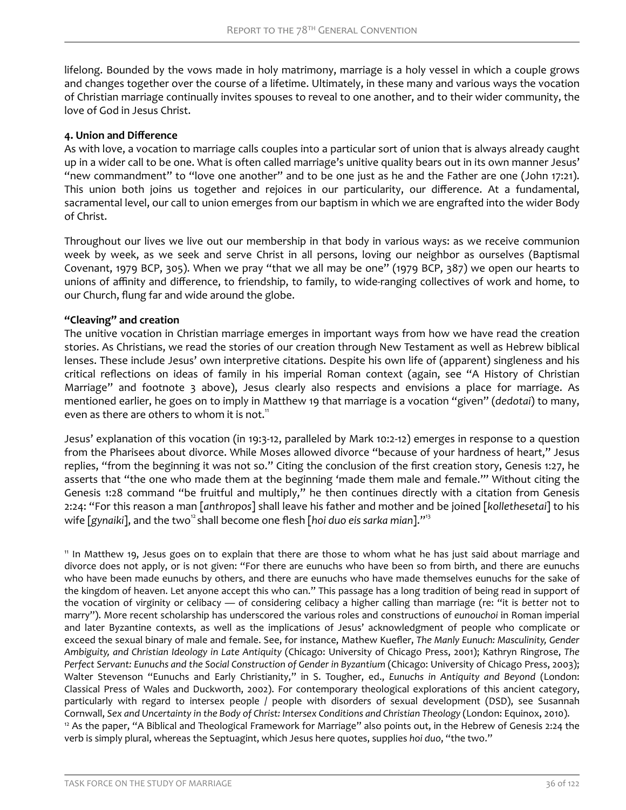lifelong. Bounded by the vows made in holy matrimony, marriage is a holy vessel in which a couple grows and changes together over the course of a lifetime. Ultimately, in these many and various ways the vocation of Christian marriage continually invites spouses to reveal to one another, and to their wider community, the love of God in Jesus Christ.

## **4. Union and Difference**

As with love, a vocation to marriage calls couples into a particular sort of union that is always already caught up in a wider call to be one. What is often called marriage's unitive quality bears out in its own manner Jesus' "new commandment" to "love one another" and to be one just as he and the Father are one (John 17:21). This union both joins us together and rejoices in our particularity, our difference. At a fundamental, sacramental level, our call to union emerges from our baptism in which we are engrafted into the wider Body of Christ.

Throughout our lives we live out our membership in that body in various ways: as we receive communion week by week, as we seek and serve Christ in all persons, loving our neighbor as ourselves (Baptismal Covenant, 1979 BCP, 305). When we pray "that we all may be one" (1979 BCP, 387) we open our hearts to unions of affinity and difference, to friendship, to family, to wide-ranging collectives of work and home, to our Church, flung far and wide around the globe.

# **"Cleaving" and creation**

The unitive vocation in Christian marriage emerges in important ways from how we have read the creation stories. As Christians, we read the stories of our creation through New Testament as well as Hebrew biblical lenses. These include Jesus' own interpretive citations. Despite his own life of (apparent) singleness and his critical reflections on ideas of family in his imperial Roman context (again, see "A History of Christian Marriage" and footnote 3 above), Jesus clearly also respects and envisions a place for marriage. As mentioned earlier, he goes on to imply in Matthew 19 that marriage is a vocation "given" (*dedotai*) to many, even as there are others to whom it is not.<sup>11</sup>

Jesus' explanation of this vocation (in 19:3-12, paralleled by Mark 10:2-12) emerges in response to a question from the Pharisees about divorce. While Moses allowed divorce "because of your hardness of heart," Jesus replies, "from the beginning it was not so." Citing the conclusion of the first creation story, Genesis 1:27, he asserts that "the one who made them at the beginning 'made them male and female.'" Without citing the Genesis 1:28 command "be fruitful and multiply," he then continues directly with a citation from Genesis 2:24: "For this reason a man [*anthropos*] shall leave his father and mother and be joined [*kollethesetai*] to his wife [gynaiki], and the two<sup>12</sup> shall become one flesh [hoi duo eis sarka mian]."<sup>13</sup>

<sup>11</sup> In Matthew 19, Jesus goes on to explain that there are those to whom what he has just said about marriage and divorce does not apply, or is not given: "For there are eunuchs who have been so from birth, and there are eunuchs who have been made eunuchs by others, and there are eunuchs who have made themselves eunuchs for the sake of the kingdom of heaven. Let anyone accept this who can." This passage has a long tradition of being read in support of the vocation of virginity or celibacy — of considering celibacy a higher calling than marriage (re: "it is *better* not to marry"). More recent scholarship has underscored the various roles and constructions of *eunouchoi* in Roman imperial and later Byzantine contexts, as well as the implications of Jesus' acknowledgment of people who complicate or exceed the sexual binary of male and female. See, for instance, Mathew Kuefler, The Manly Eunuch: Masculinity, Gender *Ambiguity, and Christian Ideology in Late Antiquity* (Chicago: University of Chicago Press, 2001); Kathryn Ringrose, *The Perfect Servant: Eunuchs and the Social Construction of Gender in Byzantium* (Chicago: University of Chicago Press, 2003); Walter Stevenson "Eunuchs and Early Christianity," in S. Tougher, ed., *Eunuchs in Antiquity and Beyond* (London: Classical Press of Wales and Duckworth, 2002). For contemporary theological explorations of this ancient category, particularly with regard to intersex people / people with disorders of sexual development (DSD), see Susannah Cornwall, *Sex and Uncertainty in the Body of Christ: Intersex Conditions and Christian Theology* (London: Equinox, 2010). <sup>12</sup> As the paper, "A Biblical and Theological Framework for Marriage" also points out, in the Hebrew of Genesis 2:24 the verb is simply plural, whereas the Septuagint, which Jesus here quotes, supplies *hoi duo*, "the two."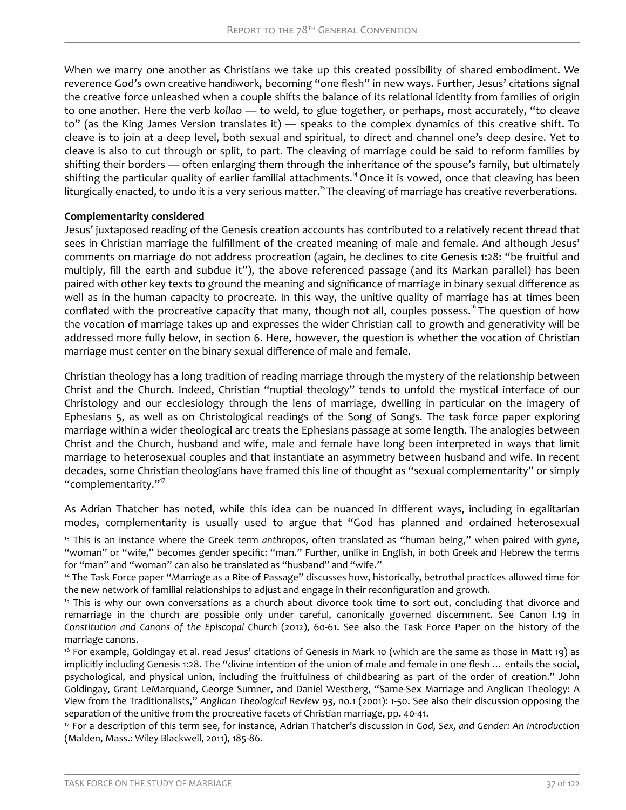When we marry one another as Christians we take up this created possibility of shared embodiment. We reverence God's own creative handiwork, becoming "one flesh" in new ways. Further, Jesus' citations signal the creative force unleashed when a couple shifts the balance of its relational identity from families of origin to one another. Here the verb *kollao* — to weld, to glue together, or perhaps, most accurately, "to cleave to" (as the King James Version translates it) — speaks to the complex dynamics of this creative shift. To cleave is to join at a deep level, both sexual and spiritual, to direct and channel one's deep desire. Yet to cleave is also to cut through or split, to part. The cleaving of marriage could be said to reform families by shifting their borders — often enlarging them through the inheritance of the spouse's family, but ultimately shifting the particular quality of earlier familial attachments.<sup>14</sup> Once it is vowed, once that cleaving has been liturgically enacted, to undo it is a very serious matter.<sup>15</sup>The cleaving of marriage has creative reverberations.

# **Complementarity considered**

Jesus' juxtaposed reading of the Genesis creation accounts has contributed to a relatively recent thread that sees in Christian marriage the fulfillment of the created meaning of male and female. And although Jesus' comments on marriage do not address procreation (again, he declines to cite Genesis 1:28: "be fruitful and multiply, fill the earth and subdue it"), the above referenced passage (and its Markan parallel) has been paired with other key texts to ground the meaning and significance of marriage in binary sexual difference as well as in the human capacity to procreate. In this way, the unitive quality of marriage has at times been conflated with the procreative capacity that many, though not all, couples possess.<sup>16</sup> The question of how the vocation of marriage takes up and expresses the wider Christian call to growth and generativity will be addressed more fully below, in section 6. Here, however, the question is whether the vocation of Christian marriage must center on the binary sexual difference of male and female.

Christian theology has a long tradition of reading marriage through the mystery of the relationship between Christ and the Church. Indeed, Christian "nuptial theology" tends to unfold the mystical interface of our Christology and our ecclesiology through the lens of marriage, dwelling in particular on the imagery of Ephesians 5, as well as on Christological readings of the Song of Songs. The task force paper exploring marriage within a wider theological arc treats the Ephesians passage at some length. The analogies between Christ and the Church, husband and wife, male and female have long been interpreted in ways that limit marriage to heterosexual couples and that instantiate an asymmetry between husband and wife. In recent decades, some Christian theologians have framed this line of thought as "sexual complementarity" or simply "complementarity."<sup>17</sup>

As Adrian Thatcher has noted, while this idea can be nuanced in different ways, including in egalitarian modes, complementarity is usually used to argue that "God has planned and ordained heterosexual

<sup>13</sup> This is an instance where the Greek term *anthropos*, often translated as "human being," when paired with *gyne*, "woman" or "wife," becomes gender specific: "man." Further, unlike in English, in both Greek and Hebrew the terms for "man" and "woman" can also be translated as "husband" and "wife."

<sup>14</sup> The Task Force paper "Marriage as a Rite of Passage" discusses how, historically, betrothal practices allowed time for the new network of familial relationships to adjust and engage in their reconfiguration and growth.

<sup>15</sup> This is why our own conversations as a church about divorce took time to sort out, concluding that divorce and remarriage in the church are possible only under careful, canonically governed discernment. See Canon I.19 in *Constitution and Canons of the Episcopal Church* (2012), 60-61. See also the Task Force Paper on the history of the marriage canons.

<sup>16</sup> For example, Goldingay et al. read Jesus' citations of Genesis in Mark 10 (which are the same as those in Matt 19) as implicitly including Genesis 1:28. The "divine intention of the union of male and female in one flesh ... entails the social, psychological, and physical union, including the fruitfulness of childbearing as part of the order of creation." John Goldingay, Grant LeMarquand, George Sumner, and Daniel Westberg, "Same-Sex Marriage and Anglican Theology: A View from the Traditionalists," *Anglican Theological Review* 93, no.1 (2001): 1-50. See also their discussion opposing the separation of the unitive from the procreative facets of Christian marriage, pp. 40-41.

<sup>17</sup> For a description of this term see, for instance, Adrian Thatcher's discussion in *God, Sex, and Gender: An Introduction* (Malden, Mass.: Wiley Blackwell, 2011), 185-86.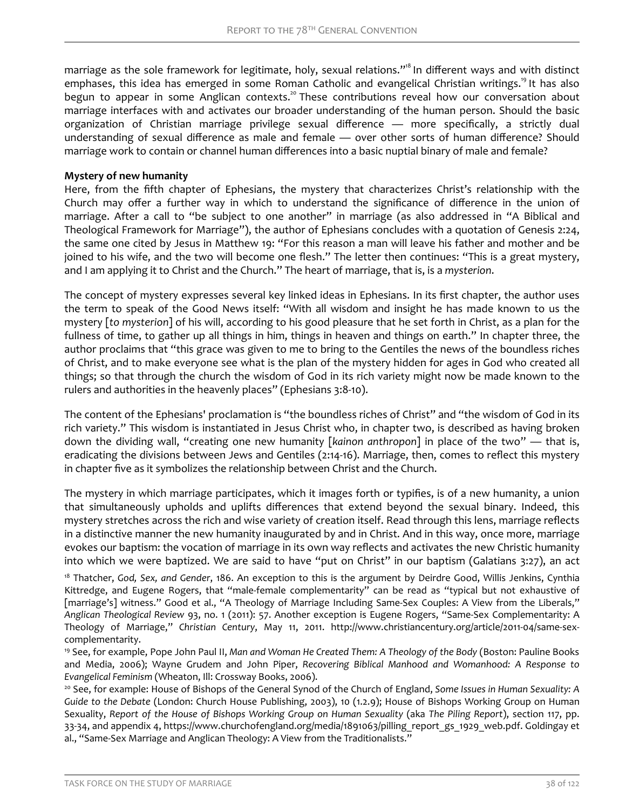marriage as the sole framework for legitimate, holy, sexual relations."<sup>8</sup> In different ways and with distinct emphases, this idea has emerged in some Roman Catholic and evangelical Christian writings.<sup>19</sup> It has also begun to appear in some Anglican contexts.<sup>20</sup> These contributions reveal how our conversation about marriage interfaces with and activates our broader understanding of the human person. Should the basic organization of Christian marriage privilege sexual difference — more specifically, a strictly dual understanding of sexual difference as male and female — over other sorts of human difference? Should marriage work to contain or channel human differences into a basic nuptial binary of male and female?

## **Mystery of new humanity**

Here, from the fifth chapter of Ephesians, the mystery that characterizes Christ's relationship with the Church may offer a further way in which to understand the significance of difference in the union of marriage. After a call to "be subject to one another" in marriage (as also addressed in "A Biblical and Theological Framework for Marriage"), the author of Ephesians concludes with a quotation of Genesis 2:24, the same one cited by Jesus in Matthew 19: "For this reason a man will leave his father and mother and be joined to his wife, and the two will become one flesh." The letter then continues: "This is a great mystery, and I am applying it to Christ and the Church." The heart of marriage, that is, is a *mysterion*.

The concept of mystery expresses several key linked ideas in Ephesians. In its first chapter, the author uses the term to speak of the Good News itself: "With all wisdom and insight he has made known to us the mystery [*to mysterion*] of his will, according to his good pleasure that he set forth in Christ, as a plan for the fullness of time, to gather up all things in him, things in heaven and things on earth." In chapter three, the author proclaims that "this grace was given to me to bring to the Gentiles the news of the boundless riches of Christ, and to make everyone see what is the plan of the mystery hidden for ages in God who created all things; so that through the church the wisdom of God in its rich variety might now be made known to the rulers and authorities in the heavenly places" (Ephesians 3:8-10).

The content of the Ephesians' proclamation is "the boundless riches of Christ" and "the wisdom of God in its rich variety." This wisdom is instantiated in Jesus Christ who, in chapter two, is described as having broken down the dividing wall, "creating one new humanity [*kainon anthropon*] in place of the two" — that is, eradicating the divisions between Jews and Gentiles (2:14-16). Marriage, then, comes to reflect this mystery in chapter five as it symbolizes the relationship between Christ and the Church.

The mystery in which marriage participates, which it images forth or typifies, is of a new humanity, a union that simultaneously upholds and uplifts differences that extend beyond the sexual binary. Indeed, this mystery stretches across the rich and wise variety of creation itself. Read through this lens, marriage reflects in a distinctive manner the new humanity inaugurated by and in Christ. And in this way, once more, marriage evokes our baptism: the vocation of marriage in its own way reflects and activates the new Christic humanity into which we were baptized. We are said to have "put on Christ" in our baptism (Galatians 3:27), an act

<sup>18</sup> Thatcher, God, Sex, and Gender, 186. An exception to this is the argument by Deirdre Good, Willis Jenkins, Cynthia Kittredge, and Eugene Rogers, that "male-female complementarity" can be read as "typical but not exhaustive of [marriage's] witness." Good et al., "A Theology of Marriage Including Same-Sex Couples: A View from the Liberals," *Anglican Theological Review* 93, no. 1 (2011): 57. Another exception is Eugene Rogers, "Same-Sex Complementarity: A Theology of Marriage," *Christian Century*, May 11, 2011. http://www.christiancentury.org/article/2011-04/same-sexcomplementarity.

<sup>19</sup> See, for example, Pope John Paul II, *Man and Woman He Created Them: A Theology of the Body* (Boston: Pauline Books and Media, 2006); Wayne Grudem and John Piper, *Recovering Biblical Manhood and Womanhood: A Response to Evangelical Feminism* (Wheaton, Ill: Crossway Books, 2006).

<sup>20</sup> See, for example: House of Bishops of the General Synod of the Church of England, *Some Issues in Human Sexuality: A Guide to the Debate* (London: Church House Publishing, 2003), 10 (1.2.9); House of Bishops Working Group on Human Sexuality, *Report of the House of Bishops Working Group on Human Sexuality* (aka *The Piling Report*), section 117, pp. 33-34, and appendix 4, https://www.churchofengland.org/media/1891063/pilling\_report\_gs\_1929\_web.pdf. Goldingay et al., "Same-Sex Marriage and Anglican Theology: A View from the Traditionalists."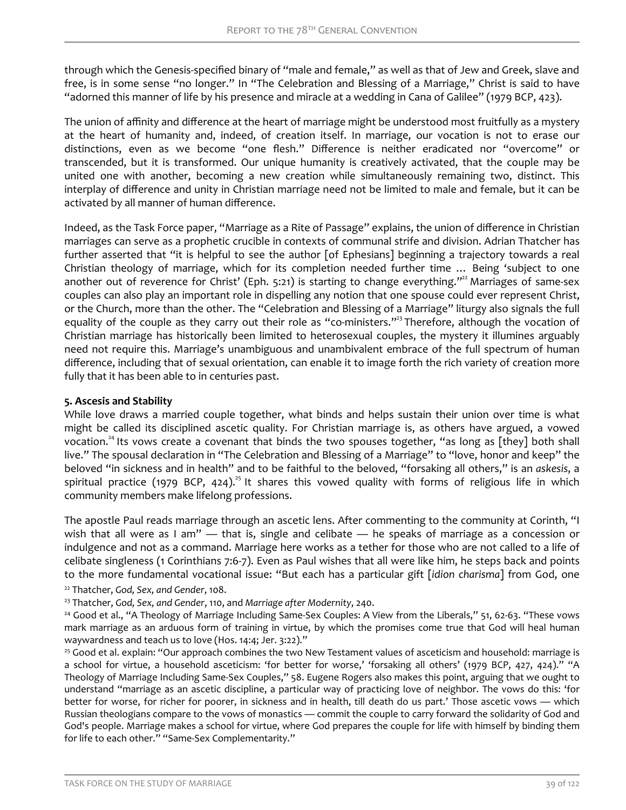through which the Genesis-specified binary of "male and female," as well as that of Jew and Greek, slave and free, is in some sense "no longer." In "The Celebration and Blessing of a Marriage," Christ is said to have "adorned this manner of life by his presence and miracle at a wedding in Cana of Galilee" (1979 BCP, 423).

The union of affinity and difference at the heart of marriage might be understood most fruitfully as a mystery at the heart of humanity and, indeed, of creation itself. In marriage, our vocation is not to erase our distinctions, even as we become "one flesh." Difference is neither eradicated nor "overcome" or transcended, but it is transformed. Our unique humanity is creatively activated, that the couple may be united one with another, becoming a new creation while simultaneously remaining two, distinct. This interplay of difference and unity in Christian marriage need not be limited to male and female, but it can be activated by all manner of human difference.

Indeed, as the Task Force paper, "Marriage as a Rite of Passage" explains, the union of difference in Christian marriages can serve as a prophetic crucible in contexts of communal strife and division. Adrian Thatcher has further asserted that "it is helpful to see the author [of Ephesians] beginning a trajectory towards a real Christian theology of marriage, which for its completion needed further time … Being 'subject to one another out of reverence for Christ' (Eph. 5:21) is starting to change everything."<sup>22</sup> Marriages of same-sex couples can also play an important role in dispelling any notion that one spouse could ever represent Christ, or the Church, more than the other. The "Celebration and Blessing of a Marriage" liturgy also signals the full equality of the couple as they carry out their role as "co-ministers."<sup>23</sup> Therefore, although the vocation of Christian marriage has historically been limited to heterosexual couples, the mystery it illumines arguably need not require this. Marriage's unambiguous and unambivalent embrace of the full spectrum of human difference, including that of sexual orientation, can enable it to image forth the rich variety of creation more fully that it has been able to in centuries past.

## **5. Ascesis and Stability**

While love draws a married couple together, what binds and helps sustain their union over time is what might be called its disciplined ascetic quality. For Christian marriage is, as others have argued, a vowed vocation.<sup>24</sup> Its vows create a covenant that binds the two spouses together, "as long as [they] both shall live." The spousal declaration in "The Celebration and Blessing of a Marriage" to "love, honor and keep" the beloved "in sickness and in health" and to be faithful to the beloved, "forsaking all others," is an *askesis*, a spiritual practice (1979 BCP, 424).<sup>25</sup> It shares this vowed quality with forms of religious life in which community members make lifelong professions.

The apostle Paul reads marriage through an ascetic lens. After commenting to the community at Corinth, "I wish that all were as I am" - that is, single and celibate - he speaks of marriage as a concession or indulgence and not as a command. Marriage here works as a tether for those who are not called to a life of celibate singleness (1 Corinthians 7:6-7). Even as Paul wishes that all were like him, he steps back and points to the more fundamental vocational issue: "But each has a particular gift [*idion charisma*] from God, one

<sup>22</sup> Thatcher, *God, Sex, and Gender*, 108.

<sup>23</sup> Thatcher, *God, Sex, and Gender*, 110, and *Marriage after Modernity*, 240.

<sup>24</sup> Good et al., "A Theology of Marriage Including Same-Sex Couples: A View from the Liberals," 51, 62-63. "These vows mark marriage as an arduous form of training in virtue, by which the promises come true that God will heal human waywardness and teach us to love (Hos. 14:4; Jer. 3:22)."

<sup>25</sup> Good et al. explain: "Our approach combines the two New Testament values of asceticism and household: marriage is a school for virtue, a household asceticism: 'for better for worse,' 'forsaking all others' (1979 BCP, 427, 424)." "A Theology of Marriage Including Same-Sex Couples," 58. Eugene Rogers also makes this point, arguing that we ought to understand "marriage as an ascetic discipline, a particular way of practicing love of neighbor. The vows do this: 'for better for worse, for richer for poorer, in sickness and in health, till death do us part.' Those ascetic vows — which Russian theologians compare to the vows of monastics — commit the couple to carry forward the solidarity of God and God's people. Marriage makes a school for virtue, where God prepares the couple for life with himself by binding them for life to each other." "Same-Sex Complementarity."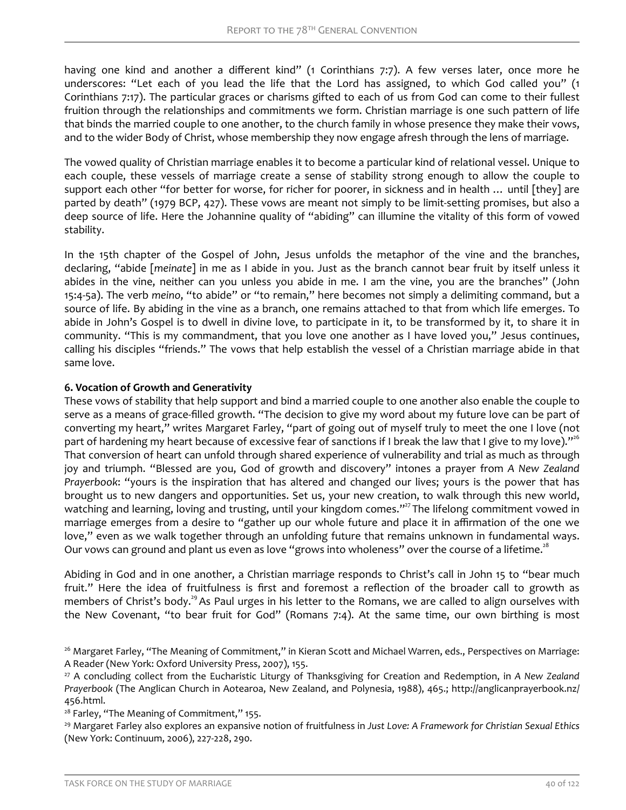having one kind and another a different kind" (1 Corinthians 7:7). A few verses later, once more he underscores: "Let each of you lead the life that the Lord has assigned, to which God called you" (1 Corinthians 7:17). The particular graces or charisms gifted to each of us from God can come to their fullest fruition through the relationships and commitments we form. Christian marriage is one such pattern of life that binds the married couple to one another, to the church family in whose presence they make their vows, and to the wider Body of Christ, whose membership they now engage afresh through the lens of marriage.

The vowed quality of Christian marriage enables it to become a particular kind of relational vessel. Unique to each couple, these vessels of marriage create a sense of stability strong enough to allow the couple to support each other "for better for worse, for richer for poorer, in sickness and in health … until [they] are parted by death" (1979 BCP, 427). These vows are meant not simply to be limit-setting promises, but also a deep source of life. Here the Johannine quality of "abiding" can illumine the vitality of this form of vowed stability.

In the 15th chapter of the Gospel of John, Jesus unfolds the metaphor of the vine and the branches, declaring, "abide [*meinate*] in me as I abide in you. Just as the branch cannot bear fruit by itself unless it abides in the vine, neither can you unless you abide in me. I am the vine, you are the branches" (John 15:4-5a). The verb *meino*, "to abide" or "to remain," here becomes not simply a delimiting command, but a source of life. By abiding in the vine as a branch, one remains attached to that from which life emerges. To abide in John's Gospel is to dwell in divine love, to participate in it, to be transformed by it, to share it in community. "This is my commandment, that you love one another as I have loved you," Jesus continues, calling his disciples "friends." The vows that help establish the vessel of a Christian marriage abide in that same love.

# **6. Vocation of Growth and Generativity**

These vows of stability that help support and bind a married couple to one another also enable the couple to serve as a means of grace-filled growth. "The decision to give my word about my future love can be part of converting my heart," writes Margaret Farley, "part of going out of myself truly to meet the one I love (not part of hardening my heart because of excessive fear of sanctions if I break the law that I give to my love)."<sup>26</sup> That conversion of heart can unfold through shared experience of vulnerability and trial as much as through joy and triumph. "Blessed are you, God of growth and discovery" intones a prayer from *A New Zealand Prayerbook*: "yours is the inspiration that has altered and changed our lives; yours is the power that has brought us to new dangers and opportunities. Set us, your new creation, to walk through this new world, watching and learning, loving and trusting, until your kingdom comes."<sup>27</sup> The lifelong commitment vowed in marriage emerges from a desire to "gather up our whole future and place it in affirmation of the one we love," even as we walk together through an unfolding future that remains unknown in fundamental ways. Our vows can ground and plant us even as love "grows into wholeness" over the course of a lifetime.<sup>28</sup>

Abiding in God and in one another, a Christian marriage responds to Christ's call in John 15 to "bear much fruit." Here the idea of fruitfulness is first and foremost a reflection of the broader call to growth as members of Christ's body.<sup>29</sup> As Paul urges in his letter to the Romans, we are called to align ourselves with the New Covenant, "to bear fruit for God" (Romans 7:4). At the same time, our own birthing is most

<sup>&</sup>lt;sup>26</sup> Margaret Farley, "The Meaning of Commitment," in Kieran Scott and Michael Warren, eds., Perspectives on Marriage: A Reader (New York: Oxford University Press, 2007), 155.

<sup>27</sup> A concluding collect from the Eucharistic Liturgy of Thanksgiving for Creation and Redemption, in *A New Zealand Prayerbook* (The Anglican Church in Aotearoa, New Zealand, and Polynesia, 1988), 465.; http://anglicanprayerbook.nz/ 456.html.

<sup>&</sup>lt;sup>28</sup> Farley, "The Meaning of Commitment," 155.

<sup>29</sup> Margaret Farley also explores an expansive notion of fruitfulness in *Just Love: A Framework for Christian Sexual Ethics* (New York: Continuum, 2006), 227-228, 290.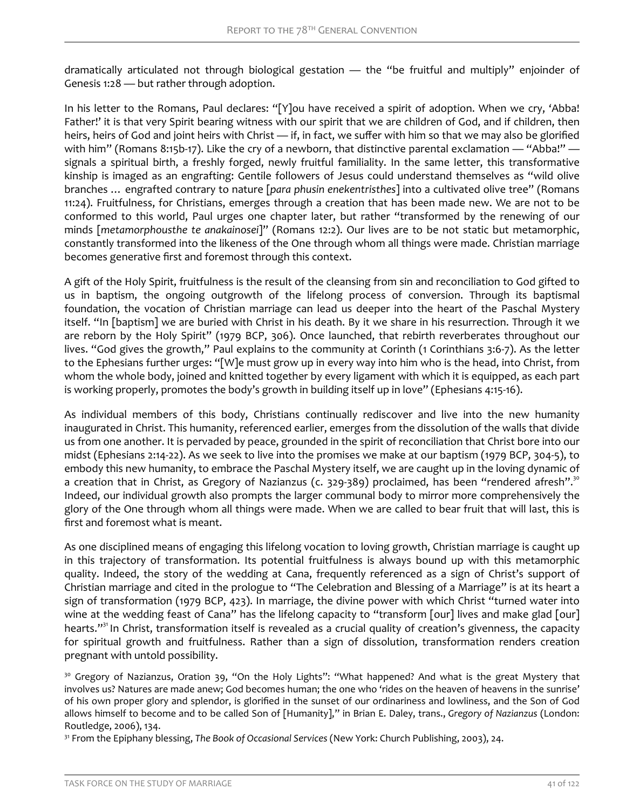dramatically articulated not through biological gestation — the "be fruitful and multiply" enjoinder of Genesis 1:28 — but rather through adoption.

In his letter to the Romans, Paul declares: "[Y]ou have received a spirit of adoption. When we cry, 'Abba! Father!' it is that very Spirit bearing witness with our spirit that we are children of God, and if children, then heirs, heirs of God and joint heirs with Christ — if, in fact, we suffer with him so that we may also be glorified with him" (Romans 8:15b-17). Like the cry of a newborn, that distinctive parental exclamation — "Abba!" signals a spiritual birth, a freshly forged, newly fruitful familiality. In the same letter, this transformative kinship is imaged as an engrafting: Gentile followers of Jesus could understand themselves as "wild olive branches … engrafted contrary to nature [*para phusin enekentristhes*] into a cultivated olive tree" (Romans 11:24). Fruitfulness, for Christians, emerges through a creation that has been made new. We are not to be conformed to this world, Paul urges one chapter later, but rather "transformed by the renewing of our minds [*metamorphousthe te anakainosei*]" (Romans 12:2). Our lives are to be not static but metamorphic, constantly transformed into the likeness of the One through whom all things were made. Christian marriage becomes generative first and foremost through this context.

A gift of the Holy Spirit, fruitfulness is the result of the cleansing from sin and reconciliation to God gifted to us in baptism, the ongoing outgrowth of the lifelong process of conversion. Through its baptismal foundation, the vocation of Christian marriage can lead us deeper into the heart of the Paschal Mystery itself. "In [baptism] we are buried with Christ in his death. By it we share in his resurrection. Through it we are reborn by the Holy Spirit" (1979 BCP, 306). Once launched, that rebirth reverberates throughout our lives. "God gives the growth," Paul explains to the community at Corinth (1 Corinthians 3:6-7). As the letter to the Ephesians further urges: "[W]e must grow up in every way into him who is the head, into Christ, from whom the whole body, joined and knitted together by every ligament with which it is equipped, as each part is working properly, promotes the body's growth in building itself up in love" (Ephesians 4:15-16).

As individual members of this body, Christians continually rediscover and live into the new humanity inaugurated in Christ. This humanity, referenced earlier, emerges from the dissolution of the walls that divide us from one another. It is pervaded by peace, grounded in the spirit of reconciliation that Christ bore into our midst (Ephesians 2:14-22). As we seek to live into the promises we make at our baptism (1979 BCP, 304-5), to embody this new humanity, to embrace the Paschal Mystery itself, we are caught up in the loving dynamic of a creation that in Christ, as Gregory of Nazianzus (c.  $329-389$ ) proclaimed, has been "rendered afresh".<sup>30</sup> Indeed, our individual growth also prompts the larger communal body to mirror more comprehensively the glory of the One through whom all things were made. When we are called to bear fruit that will last, this is first and foremost what is meant.

As one disciplined means of engaging this lifelong vocation to loving growth, Christian marriage is caught up in this trajectory of transformation. Its potential fruitfulness is always bound up with this metamorphic quality. Indeed, the story of the wedding at Cana, frequently referenced as a sign of Christ's support of Christian marriage and cited in the prologue to "The Celebration and Blessing of a Marriage" is at its heart a sign of transformation (1979 BCP, 423). In marriage, the divine power with which Christ "turned water into wine at the wedding feast of Cana" has the lifelong capacity to "transform [our] lives and make glad [our] hearts."<sup>31</sup> In Christ, transformation itself is revealed as a crucial quality of creation's givenness, the capacity for spiritual growth and fruitfulness. Rather than a sign of dissolution, transformation renders creation pregnant with untold possibility.

<sup>30</sup> Gregory of Nazianzus, Oration 39, "On the Holy Lights": "What happened? And what is the great Mystery that involves us? Natures are made anew; God becomes human; the one who 'rides on the heaven of heavens in the sunrise' of his own proper glory and splendor, is glorified in the sunset of our ordinariness and lowliness, and the Son of God allows himself to become and to be called Son of [Humanity]," in Brian E. Daley, trans., *Gregory of Nazianzus* (London: Routledge, 2006), 134.

<sup>31</sup> From the Epiphany blessing, *The Book of Occasional Services* (New York: Church Publishing, 2003), 24.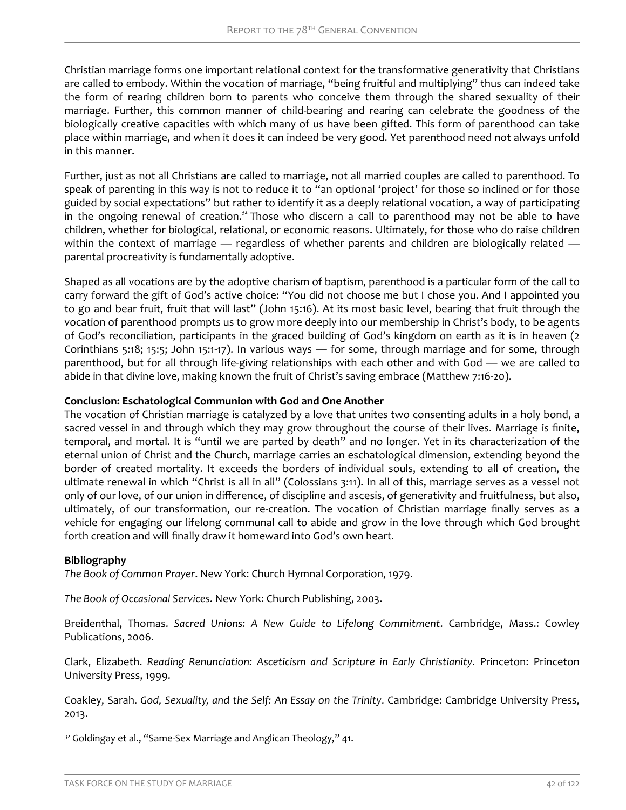Christian marriage forms one important relational context for the transformative generativity that Christians are called to embody. Within the vocation of marriage, "being fruitful and multiplying" thus can indeed take the form of rearing children born to parents who conceive them through the shared sexuality of their marriage. Further, this common manner of child-bearing and rearing can celebrate the goodness of the biologically creative capacities with which many of us have been gifted. This form of parenthood can take place within marriage, and when it does it can indeed be very good. Yet parenthood need not always unfold in this manner.

Further, just as not all Christians are called to marriage, not all married couples are called to parenthood. To speak of parenting in this way is not to reduce it to "an optional 'project' for those so inclined or for those guided by social expectations" but rather to identify it as a deeply relational vocation, a way of participating in the ongoing renewal of creation.<sup>32</sup> Those who discern a call to parenthood may not be able to have children, whether for biological, relational, or economic reasons. Ultimately, for those who do raise children within the context of marriage — regardless of whether parents and children are biologically related parental procreativity is fundamentally adoptive.

Shaped as all vocations are by the adoptive charism of baptism, parenthood is a particular form of the call to carry forward the gift of God's active choice: "You did not choose me but I chose you. And I appointed you to go and bear fruit, fruit that will last" (John 15:16). At its most basic level, bearing that fruit through the vocation of parenthood prompts us to grow more deeply into our membership in Christ's body, to be agents of God's reconciliation, participants in the graced building of God's kingdom on earth as it is in heaven (2 Corinthians 5:18; 15:5; John 15:1-17). In various ways — for some, through marriage and for some, through parenthood, but for all through life-giving relationships with each other and with God — we are called to abide in that divine love, making known the fruit of Christ's saving embrace (Matthew 7:16-20).

# **Conclusion: Eschatological Communion with God and One Another**

The vocation of Christian marriage is catalyzed by a love that unites two consenting adults in a holy bond, a sacred vessel in and through which they may grow throughout the course of their lives. Marriage is finite, temporal, and mortal. It is "until we are parted by death" and no longer. Yet in its characterization of the eternal union of Christ and the Church, marriage carries an eschatological dimension, extending beyond the border of created mortality. It exceeds the borders of individual souls, extending to all of creation, the ultimate renewal in which "Christ is all in all" (Colossians 3:11). In all of this, marriage serves as a vessel not only of our love, of our union in difference, of discipline and ascesis, of generativity and fruitfulness, but also, ultimately, of our transformation, our re-creation. The vocation of Christian marriage finally serves as a vehicle for engaging our lifelong communal call to abide and grow in the love through which God brought forth creation and will finally draw it homeward into God's own heart.

#### **Bibliography**

*The Book of Common Prayer*. New York: Church Hymnal Corporation, 1979.

*The Book of Occasional Services*. New York: Church Publishing, 2003.

Breidenthal, Thomas. *Sacred Unions: A New Guide to Lifelong Commitment*. Cambridge, Mass.: Cowley Publications, 2006.

Clark, Elizabeth. *Reading Renunciation: Asceticism and Scripture in Early Christianity*. Princeton: Princeton University Press, 1999.

Coakley, Sarah. *God, Sexuality, and the Self: An Essay on the Trinity*. Cambridge: Cambridge University Press, 2013.

<sup>32</sup> Goldingay et al., "Same-Sex Marriage and Anglican Theology," 41.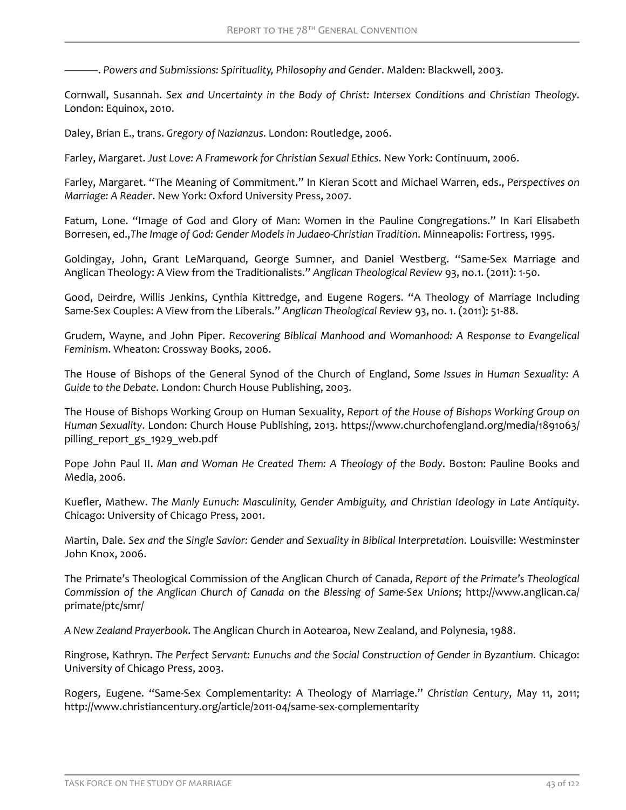———. *Powers and Submissions: Spirituality, Philosophy and Gender*. Malden: Blackwell, 2003.

Cornwall, Susannah. *Sex and Uncertainty in the Body of Christ: Intersex Conditions and Christian Theology*. London: Equinox, 2010.

Daley, Brian E., trans. *Gregory of Nazianzus*. London: Routledge, 2006.

Farley, Margaret. *Just Love: A Framework for Christian Sexual Ethics*. New York: Continuum, 2006.

Farley, Margaret. "The Meaning of Commitment." In Kieran Scott and Michael Warren, eds., *Perspectives on Marriage: A Reader*. New York: Oxford University Press, 2007.

Fatum, Lone. "Image of God and Glory of Man: Women in the Pauline Congregations." In Kari Elisabeth Borresen, ed.,*The Image of God: Gender Models in Judaeo-Christian Tradition*. Minneapolis: Fortress, 1995.

Goldingay, John, Grant LeMarquand, George Sumner, and Daniel Westberg. "Same-Sex Marriage and Anglican Theology: A View from the Traditionalists." *Anglican Theological Review* 93, no.1. (2011): 1-50.

Good, Deirdre, Willis Jenkins, Cynthia Kittredge, and Eugene Rogers. "A Theology of Marriage Including Same-Sex Couples: A View from the Liberals." *Anglican Theological Review* 93, no. 1. (2011): 51-88.

Grudem, Wayne, and John Piper. *Recovering Biblical Manhood and Womanhood: A Response to Evangelical Feminism*. Wheaton: Crossway Books, 2006.

The House of Bishops of the General Synod of the Church of England, *Some Issues in Human Sexuality: A Guide to the Debate*. London: Church House Publishing, 2003.

The House of Bishops Working Group on Human Sexuality, *Report of the House of Bishops Working Group on Human Sexuality*. London: Church House Publishing, 2013. https://www.churchofengland.org/media/1891063/ pilling report gs 1929 web.pdf

Pope John Paul II. *Man and Woman He Created Them: A Theology of the Body*. Boston: Pauline Books and Media, 2006.

Kuefler, Mathew. The Manly Eunuch: Masculinity, Gender Ambiguity, and Christian Ideology in Late Antiquity. Chicago: University of Chicago Press, 2001.

Martin, Dale. *Sex and the Single Savior: Gender and Sexuality in Biblical Interpretation*. Louisville: Westminster John Knox, 2006.

The Primate's Theological Commission of the Anglican Church of Canada, *Report of the Primate's Theological Commission of the Anglican Church of Canada on the Blessing of Same-Sex Unions*; http://www.anglican.ca/ primate/ptc/smr/

*A New Zealand Prayerbook*. The Anglican Church in Aotearoa, New Zealand, and Polynesia, 1988.

Ringrose, Kathryn. *The Perfect Servant: Eunuchs and the Social Construction of Gender in Byzantium*. Chicago: University of Chicago Press, 2003.

Rogers, Eugene. "Same-Sex Complementarity: A Theology of Marriage." *Christian Century*, May 11, 2011; http://www.christiancentury.org/article/2011-04/same-sex-complementarity